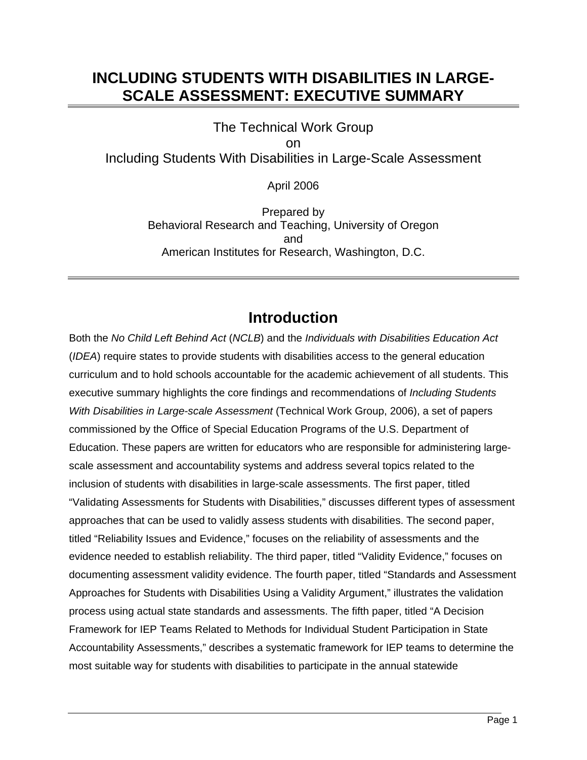## **INCLUDING STUDENTS WITH DISABILITIES IN LARGE-SCALE ASSESSMENT: EXECUTIVE SUMMARY**

The Technical Work Group on Including Students With Disabilities in Large-Scale Assessment

April 2006

Prepared by Behavioral Research and Teaching, University of Oregon and American Institutes for Research, Washington, D.C.

### **Introduction**

Both the *No Child Left Behind Act* (*NCLB*) and the *Individuals with Disabilities Education Act*  (*IDEA*) require states to provide students with disabilities access to the general education curriculum and to hold schools accountable for the academic achievement of all students. This executive summary highlights the core findings and recommendations of *Including Students With Disabilities in Large-scale Assessment* (Technical Work Group, 2006), a set of papers commissioned by the Office of Special Education Programs of the U.S. Department of Education. These papers are written for educators who are responsible for administering largescale assessment and accountability systems and address several topics related to the inclusion of students with disabilities in large-scale assessments. The first paper, titled "Validating Assessments for Students with Disabilities," discusses different types of assessment approaches that can be used to validly assess students with disabilities. The second paper, titled "Reliability Issues and Evidence," focuses on the reliability of assessments and the evidence needed to establish reliability. The third paper, titled "Validity Evidence," focuses on documenting assessment validity evidence. The fourth paper, titled "Standards and Assessment Approaches for Students with Disabilities Using a Validity Argument," illustrates the validation process using actual state standards and assessments. The fifth paper, titled "A Decision Framework for IEP Teams Related to Methods for Individual Student Participation in State Accountability Assessments," describes a systematic framework for IEP teams to determine the most suitable way for students with disabilities to participate in the annual statewide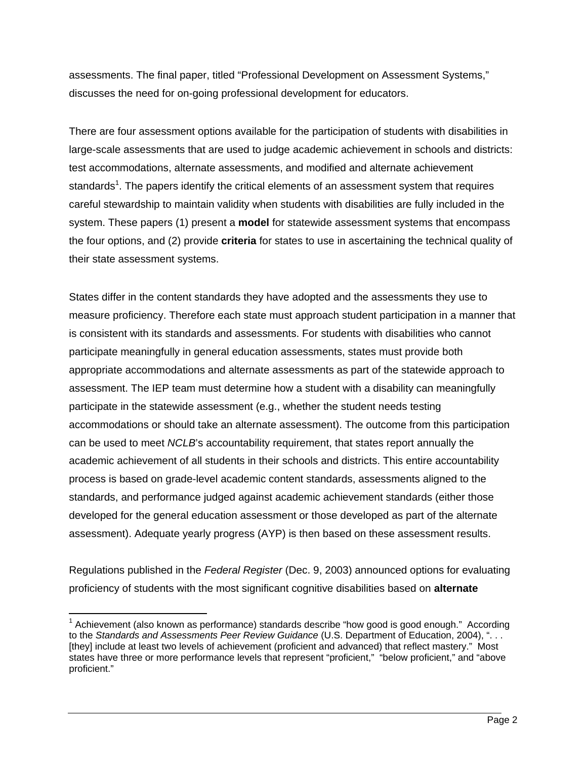assessments. The final paper, titled "Professional Development on Assessment Systems," discusses the need for on-going professional development for educators.

There are four assessment options available for the participation of students with disabilities in large-scale assessments that are used to judge academic achievement in schools and districts: test accommodations, alternate assessments, and modified and alternate achievement standards<sup>1</sup>. The papers identify the critical elements of an assessment system that requires careful stewardship to maintain validity when students with disabilities are fully included in the system. These papers (1) present a **model** for statewide assessment systems that encompass the four options, and (2) provide **criteria** for states to use in ascertaining the technical quality of their state assessment systems.

States differ in the content standards they have adopted and the assessments they use to measure proficiency. Therefore each state must approach student participation in a manner that is consistent with its standards and assessments. For students with disabilities who cannot participate meaningfully in general education assessments, states must provide both appropriate accommodations and alternate assessments as part of the statewide approach to assessment. The IEP team must determine how a student with a disability can meaningfully participate in the statewide assessment (e.g., whether the student needs testing accommodations or should take an alternate assessment). The outcome from this participation can be used to meet *NCLB*'s accountability requirement, that states report annually the academic achievement of all students in their schools and districts. This entire accountability process is based on grade-level academic content standards, assessments aligned to the standards, and performance judged against academic achievement standards (either those developed for the general education assessment or those developed as part of the alternate assessment). Adequate yearly progress (AYP) is then based on these assessment results.

Regulations published in the *Federal Register* (Dec. 9, 2003) announced options for evaluating proficiency of students with the most significant cognitive disabilities based on **alternate** 

 $\overline{a}$  $1$  Achievement (also known as performance) standards describe "how good is good enough." According to the *Standards and Assessments Peer Review Guidance* (U.S. Department of Education, 2004), ". . . [they] include at least two levels of achievement (proficient and advanced) that reflect mastery." Most states have three or more performance levels that represent "proficient," "below proficient," and "above proficient."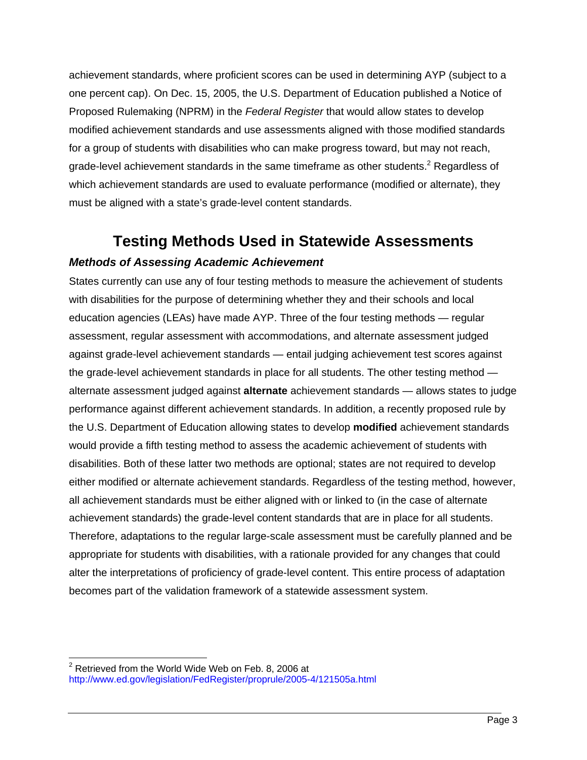achievement standards, where proficient scores can be used in determining AYP (subject to a one percent cap). On Dec. 15, 2005, the U.S. Department of Education published a Notice of Proposed Rulemaking (NPRM) in the *Federal Register* that would allow states to develop modified achievement standards and use assessments aligned with those modified standards for a group of students with disabilities who can make progress toward, but may not reach, grade-level achievement standards in the same timeframe as other students.<sup>2</sup> Regardless of which achievement standards are used to evaluate performance (modified or alternate), they must be aligned with a state's grade-level content standards.

## **Testing Methods Used in Statewide Assessments**  *Methods of Assessing Academic Achievement*

States currently can use any of four testing methods to measure the achievement of students with disabilities for the purpose of determining whether they and their schools and local education agencies (LEAs) have made AYP. Three of the four testing methods — regular assessment, regular assessment with accommodations, and alternate assessment judged against grade-level achievement standards — entail judging achievement test scores against the grade-level achievement standards in place for all students. The other testing method alternate assessment judged against **alternate** achievement standards — allows states to judge performance against different achievement standards. In addition, a recently proposed rule by the U.S. Department of Education allowing states to develop **modified** achievement standards would provide a fifth testing method to assess the academic achievement of students with disabilities. Both of these latter two methods are optional; states are not required to develop either modified or alternate achievement standards. Regardless of the testing method, however, all achievement standards must be either aligned with or linked to (in the case of alternate achievement standards) the grade-level content standards that are in place for all students. Therefore, adaptations to the regular large-scale assessment must be carefully planned and be appropriate for students with disabilities, with a rationale provided for any changes that could alter the interpretations of proficiency of grade-level content. This entire process of adaptation becomes part of the validation framework of a statewide assessment system.

 $\overline{a}$ 

http://www.ed.gov/legislation/FedRegister/proprule/2005-4/121505a.html<br>Page 3  $2$  Retrieved from the World Wide Web on Feb. 8, 2006 at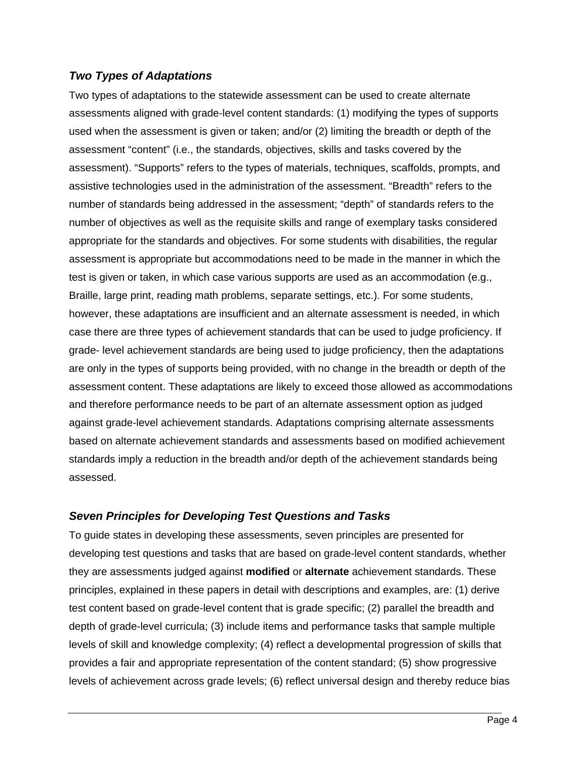#### *Two Types of Adaptations*

Two types of adaptations to the statewide assessment can be used to create alternate assessments aligned with grade-level content standards: (1) modifying the types of supports used when the assessment is given or taken; and/or (2) limiting the breadth or depth of the assessment "content" (i.e., the standards, objectives, skills and tasks covered by the assessment). "Supports" refers to the types of materials, techniques, scaffolds, prompts, and assistive technologies used in the administration of the assessment. "Breadth" refers to the number of standards being addressed in the assessment; "depth" of standards refers to the number of objectives as well as the requisite skills and range of exemplary tasks considered appropriate for the standards and objectives. For some students with disabilities, the regular assessment is appropriate but accommodations need to be made in the manner in which the test is given or taken, in which case various supports are used as an accommodation (e.g., Braille, large print, reading math problems, separate settings, etc.). For some students, however, these adaptations are insufficient and an alternate assessment is needed, in which case there are three types of achievement standards that can be used to judge proficiency. If grade- level achievement standards are being used to judge proficiency, then the adaptations are only in the types of supports being provided, with no change in the breadth or depth of the assessment content. These adaptations are likely to exceed those allowed as accommodations and therefore performance needs to be part of an alternate assessment option as judged against grade-level achievement standards. Adaptations comprising alternate assessments based on alternate achievement standards and assessments based on modified achievement standards imply a reduction in the breadth and/or depth of the achievement standards being assessed.

### *Seven Principles for Developing Test Questions and Tasks*

To guide states in developing these assessments, seven principles are presented for developing test questions and tasks that are based on grade-level content standards, whether they are assessments judged against **modified** or **alternate** achievement standards. These principles, explained in these papers in detail with descriptions and examples, are: (1) derive test content based on grade-level content that is grade specific; (2) parallel the breadth and depth of grade-level curricula; (3) include items and performance tasks that sample multiple levels of skill and knowledge complexity; (4) reflect a developmental progression of skills that provides a fair and appropriate representation of the content standard; (5) show progressive levels of achievement across grade levels; (6) reflect universal design and thereby reduce bias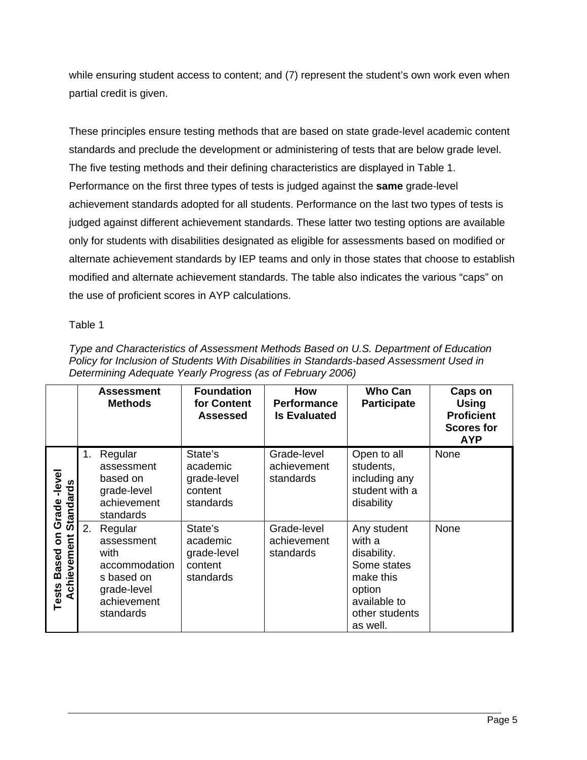while ensuring student access to content; and (7) represent the student's own work even when partial credit is given.

These principles ensure testing methods that are based on state grade-level academic content standards and preclude the development or administering of tests that are below grade level. The five testing methods and their defining characteristics are displayed in Table 1. Performance on the first three types of tests is judged against the **same** grade-level achievement standards adopted for all students. Performance on the last two types of tests is judged against different achievement standards. These latter two testing options are available only for students with disabilities designated as eligible for assessments based on modified or alternate achievement standards by IEP teams and only in those states that choose to establish modified and alternate achievement standards. The table also indicates the various "caps" on the use of proficient scores in AYP calculations.

Table 1

| Type and Characteristics of Assessment Methods Based on U.S. Department of Education     |
|------------------------------------------------------------------------------------------|
| Policy for Inclusion of Students With Disabilities in Standards-based Assessment Used in |
| Determining Adequate Yearly Progress (as of February 2006)                               |

|                                           |    | <b>Assessment</b><br><b>Methods</b>                                                                     | <b>Foundation</b><br>for Content<br><b>Assessed</b>        | <b>How</b><br><b>Performance</b><br><b>Is Evaluated</b> | <b>Who Can</b><br><b>Participate</b>                                                                                     | Caps on<br><b>Using</b><br><b>Proficient</b><br><b>Scores for</b><br><b>AYP</b> |
|-------------------------------------------|----|---------------------------------------------------------------------------------------------------------|------------------------------------------------------------|---------------------------------------------------------|--------------------------------------------------------------------------------------------------------------------------|---------------------------------------------------------------------------------|
| -level<br><b>Standards</b><br>Grade       | 1. | Regular<br>assessment<br>based on<br>grade-level<br>achievement<br>standards                            | State's<br>academic<br>grade-level<br>content<br>standards | Grade-level<br>achievement<br>standards                 | Open to all<br>students,<br>including any<br>student with a<br>disability                                                | None                                                                            |
| 5<br>Achievement<br><b>Based</b><br>Tests | 2. | Regular<br>assessment<br>with<br>accommodation<br>s based on<br>grade-level<br>achievement<br>standards | State's<br>academic<br>grade-level<br>content<br>standards | Grade-level<br>achievement<br>standards                 | Any student<br>with a<br>disability.<br>Some states<br>make this<br>option<br>available to<br>other students<br>as well. | None                                                                            |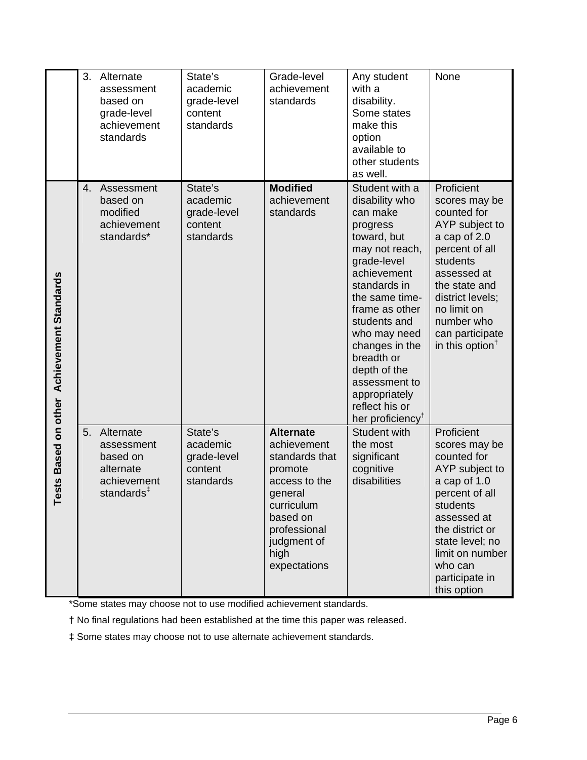|                                      | 3. | Alternate<br>assessment<br>based on<br>grade-level<br>achievement<br>standards            | State's<br>academic<br>grade-level<br>content<br>standards | Grade-level<br>achievement<br>standards                                                                                                                                   | Any student<br>with a<br>disability.<br>Some states<br>make this<br>option<br>available to<br>other students<br>as well.                                                                                                                                                                                                                        | None                                                                                                                                                                                                                                                       |
|--------------------------------------|----|-------------------------------------------------------------------------------------------|------------------------------------------------------------|---------------------------------------------------------------------------------------------------------------------------------------------------------------------------|-------------------------------------------------------------------------------------------------------------------------------------------------------------------------------------------------------------------------------------------------------------------------------------------------------------------------------------------------|------------------------------------------------------------------------------------------------------------------------------------------------------------------------------------------------------------------------------------------------------------|
| Based on other Achievement Standards | 4. | Assessment<br>based on<br>modified<br>achievement<br>standards*                           | State's<br>academic<br>grade-level<br>content<br>standards | <b>Modified</b><br>achievement<br>standards                                                                                                                               | Student with a<br>disability who<br>can make<br>progress<br>toward, but<br>may not reach,<br>grade-level<br>achievement<br>standards in<br>the same time-<br>frame as other<br>students and<br>who may need<br>changes in the<br>breadth or<br>depth of the<br>assessment to<br>appropriately<br>reflect his or<br>her proficiency <sup>†</sup> | Proficient<br>scores may be<br>counted for<br>AYP subject to<br>a cap of 2.0<br>percent of all<br>students<br>assessed at<br>the state and<br>district levels;<br>no limit on<br>number who<br>can participate<br>in this option <sup><math>†</math></sup> |
| ests<br>⊢                            | 5. | Alternate<br>assessment<br>based on<br>alternate<br>achievement<br>standards <sup>‡</sup> | State's<br>academic<br>grade-level<br>content<br>standards | <b>Alternate</b><br>achievement<br>standards that<br>promote<br>access to the<br>general<br>curriculum<br>based on<br>professional<br>judgment of<br>high<br>expectations | <b>Student with</b><br>the most<br>significant<br>cognitive<br>disabilities                                                                                                                                                                                                                                                                     | Proficient<br>scores may be<br>counted for<br>AYP subject to<br>a cap of 1.0<br>percent of all<br>students<br>assessed at<br>the district or<br>state level; no<br>limit on number<br>who can<br>participate in<br>this option                             |

\*Some states may choose not to use modified achievement standards.

† No final regulations had been established at the time this paper was released.

‡ Some states may choose not to use alternate achievement standards.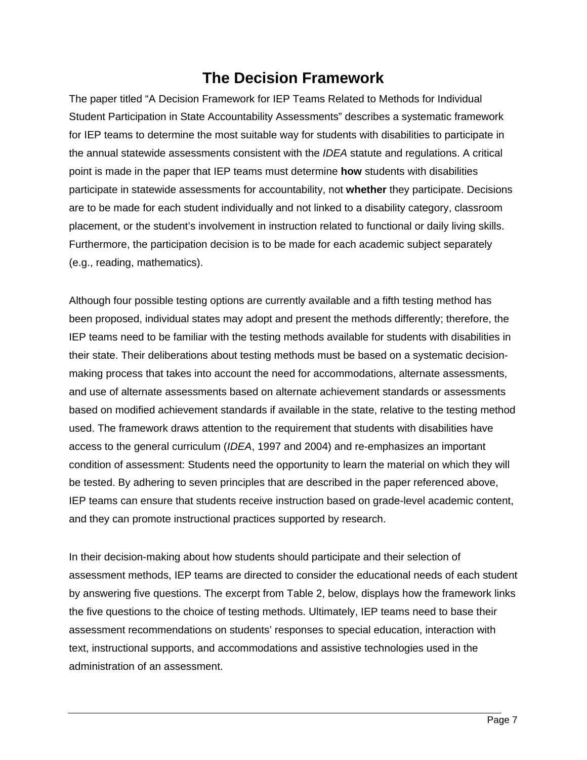## **The Decision Framework**

The paper titled "A Decision Framework for IEP Teams Related to Methods for Individual Student Participation in State Accountability Assessments" describes a systematic framework for IEP teams to determine the most suitable way for students with disabilities to participate in the annual statewide assessments consistent with the *IDEA* statute and regulations. A critical point is made in the paper that IEP teams must determine **how** students with disabilities participate in statewide assessments for accountability, not **whether** they participate. Decisions are to be made for each student individually and not linked to a disability category, classroom placement, or the student's involvement in instruction related to functional or daily living skills. Furthermore, the participation decision is to be made for each academic subject separately (e.g., reading, mathematics).

Although four possible testing options are currently available and a fifth testing method has been proposed, individual states may adopt and present the methods differently; therefore, the IEP teams need to be familiar with the testing methods available for students with disabilities in their state. Their deliberations about testing methods must be based on a systematic decisionmaking process that takes into account the need for accommodations, alternate assessments, and use of alternate assessments based on alternate achievement standards or assessments based on modified achievement standards if available in the state, relative to the testing method used. The framework draws attention to the requirement that students with disabilities have access to the general curriculum (*IDEA*, 1997 and 2004) and re-emphasizes an important condition of assessment: Students need the opportunity to learn the material on which they will be tested. By adhering to seven principles that are described in the paper referenced above, IEP teams can ensure that students receive instruction based on grade-level academic content, and they can promote instructional practices supported by research.

In their decision-making about how students should participate and their selection of assessment methods, IEP teams are directed to consider the educational needs of each student by answering five questions. The excerpt from Table 2, below, displays how the framework links the five questions to the choice of testing methods. Ultimately, IEP teams need to base their assessment recommendations on students' responses to special education, interaction with text, instructional supports, and accommodations and assistive technologies used in the administration of an assessment.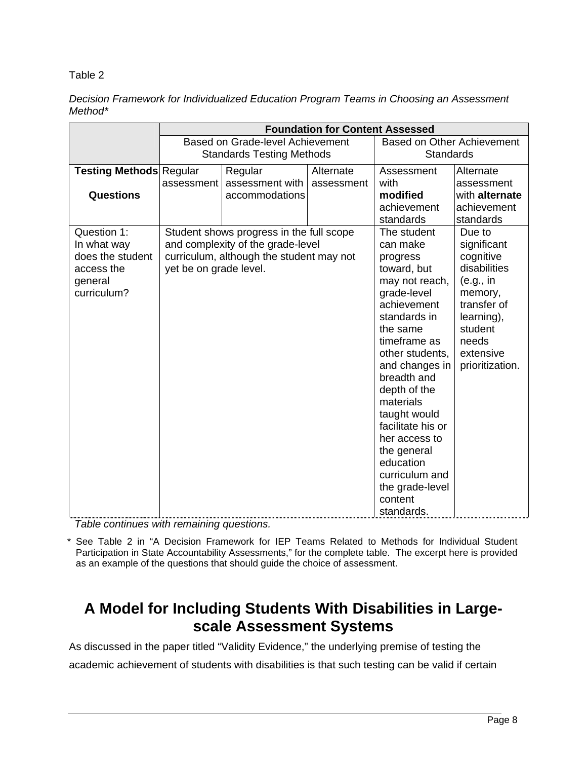Table 2

*Decision Framework for Individualized Education Program Teams in Choosing an Assessment Method\**

|                                | <b>Foundation for Content Assessed</b>   |                                          |            |                                   |                 |
|--------------------------------|------------------------------------------|------------------------------------------|------------|-----------------------------------|-----------------|
|                                | Based on Grade-level Achievement         |                                          |            | <b>Based on Other Achievement</b> |                 |
|                                | <b>Standards Testing Methods</b>         |                                          |            | <b>Standards</b>                  |                 |
| <b>Testing Methods Regular</b> |                                          | Regular                                  | Alternate  | Assessment                        | Alternate       |
|                                | assessment                               | assessment with                          | assessment | with                              | assessment      |
| <b>Questions</b>               |                                          | accommodations                           |            | modified                          | with alternate  |
|                                |                                          |                                          |            | achievement                       | achievement     |
|                                |                                          |                                          |            | standards                         | standards       |
| Question 1:                    |                                          | Student shows progress in the full scope |            | The student                       | Due to          |
| In what way                    |                                          | and complexity of the grade-level        |            | can make                          | significant     |
| does the student               | curriculum, although the student may not |                                          |            | progress                          | cognitive       |
| access the                     | yet be on grade level.                   |                                          |            | toward, but                       | disabilities    |
| general                        |                                          |                                          |            | may not reach,                    | (e.g., in       |
| curriculum?                    |                                          |                                          |            | grade-level                       | memory,         |
|                                |                                          |                                          |            | achievement                       | transfer of     |
|                                |                                          |                                          |            | standards in                      | learning),      |
|                                |                                          |                                          |            | the same                          | student         |
|                                |                                          |                                          |            | timeframe as                      | needs           |
|                                |                                          |                                          |            | other students,                   | extensive       |
|                                |                                          |                                          |            | and changes in                    | prioritization. |
|                                |                                          |                                          |            | breadth and                       |                 |
|                                |                                          |                                          |            | depth of the                      |                 |
|                                |                                          |                                          |            | materials                         |                 |
|                                |                                          |                                          |            | taught would                      |                 |
|                                |                                          |                                          |            | facilitate his or                 |                 |
|                                |                                          |                                          |            | her access to                     |                 |
|                                |                                          |                                          |            | the general                       |                 |
|                                |                                          |                                          |            | education                         |                 |
|                                |                                          |                                          |            | curriculum and                    |                 |
|                                |                                          |                                          |            | the grade-level                   |                 |
|                                |                                          |                                          |            | content                           |                 |
|                                |                                          |                                          |            | standards.                        |                 |

*Table continues with remaining questions.* 

\* See Table 2 in "A Decision Framework for IEP Teams Related to Methods for Individual Student Participation in State Accountability Assessments," for the complete table. The excerpt here is provided as an example of the questions that should guide the choice of assessment.

### **A Model for Including Students With Disabilities in Largescale Assessment Systems**

As discussed in the paper titled "Validity Evidence," the underlying premise of testing the academic achievement of students with disabilities is that such testing can be valid if certain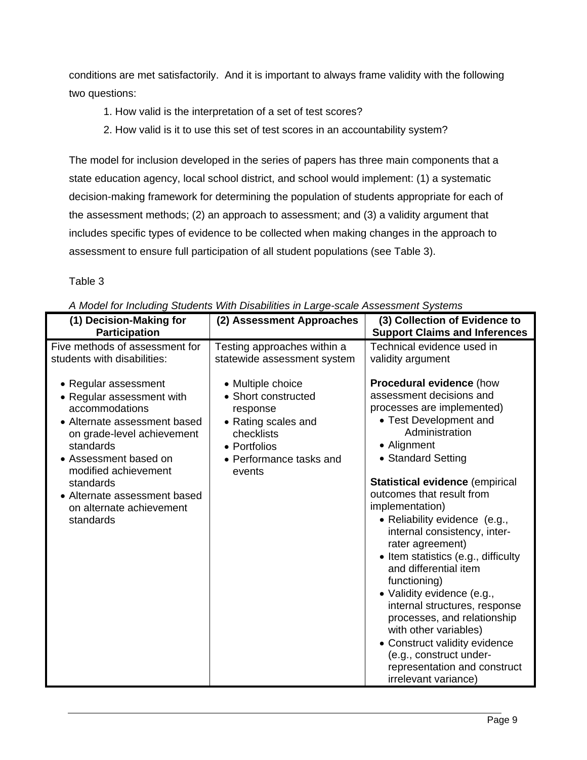conditions are met satisfactorily. And it is important to always frame validity with the following two questions:

- 1. How valid is the interpretation of a set of test scores?
- 2. How valid is it to use this set of test scores in an accountability system?

The model for inclusion developed in the series of papers has three main components that a state education agency, local school district, and school would implement: (1) a systematic decision-making framework for determining the population of students appropriate for each of the assessment methods; (2) an approach to assessment; and (3) a validity argument that includes specific types of evidence to be collected when making changes in the approach to assessment to ensure full participation of all student populations (see Table 3).

#### Table 3

| A MOUTH OF INCIDENTY STUDENTS WITH DISADINIES IN LATTE-SCATE ASSESSMENT SYSTEMS                                                                                                                                                                                                                                                          |                                                                                                                                                                                                                                           |                                                                                                                                                                                                                                                                                                                                                                                                              |  |  |
|------------------------------------------------------------------------------------------------------------------------------------------------------------------------------------------------------------------------------------------------------------------------------------------------------------------------------------------|-------------------------------------------------------------------------------------------------------------------------------------------------------------------------------------------------------------------------------------------|--------------------------------------------------------------------------------------------------------------------------------------------------------------------------------------------------------------------------------------------------------------------------------------------------------------------------------------------------------------------------------------------------------------|--|--|
|                                                                                                                                                                                                                                                                                                                                          |                                                                                                                                                                                                                                           |                                                                                                                                                                                                                                                                                                                                                                                                              |  |  |
| <b>Participation</b>                                                                                                                                                                                                                                                                                                                     |                                                                                                                                                                                                                                           |                                                                                                                                                                                                                                                                                                                                                                                                              |  |  |
| (1) Decision-Making for<br>Five methods of assessment for<br>students with disabilities:<br>• Regular assessment<br>• Regular assessment with<br>accommodations<br>• Alternate assessment based<br>on grade-level achievement<br>standards<br>• Assessment based on<br>modified achievement<br>standards<br>• Alternate assessment based | (2) Assessment Approaches<br>Testing approaches within a<br>statewide assessment system<br>• Multiple choice<br>• Short constructed<br>response<br>• Rating scales and<br>checklists<br>• Portfolios<br>• Performance tasks and<br>events | (3) Collection of Evidence to<br><b>Support Claims and Inferences</b><br>Technical evidence used in<br>validity argument<br><b>Procedural evidence (how</b><br>assessment decisions and<br>processes are implemented)<br>• Test Development and<br>Administration<br>• Alignment<br>• Standard Setting<br><b>Statistical evidence (empirical</b><br>outcomes that result from<br>implementation)             |  |  |
| on alternate achievement<br>standards                                                                                                                                                                                                                                                                                                    |                                                                                                                                                                                                                                           | • Reliability evidence (e.g.,<br>internal consistency, inter-<br>rater agreement)<br>• Item statistics (e.g., difficulty<br>and differential item<br>functioning)<br>· Validity evidence (e.g.,<br>internal structures, response<br>processes, and relationship<br>with other variables)<br>• Construct validity evidence<br>(e.g., construct under-<br>representation and construct<br>irrelevant variance) |  |  |

*A Model for Including Students With Disabilities in Large-scale Assessment Systems*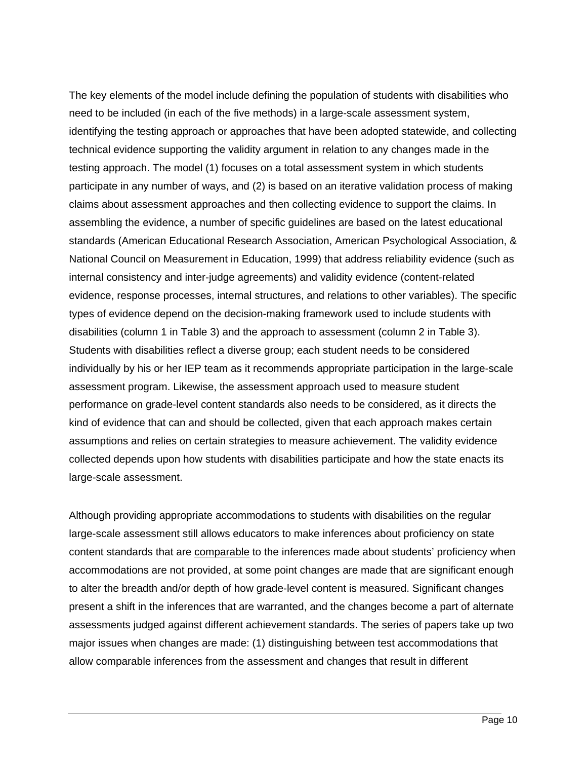The key elements of the model include defining the population of students with disabilities who need to be included (in each of the five methods) in a large-scale assessment system, identifying the testing approach or approaches that have been adopted statewide, and collecting technical evidence supporting the validity argument in relation to any changes made in the testing approach. The model (1) focuses on a total assessment system in which students participate in any number of ways, and (2) is based on an iterative validation process of making claims about assessment approaches and then collecting evidence to support the claims. In assembling the evidence, a number of specific guidelines are based on the latest educational standards (American Educational Research Association, American Psychological Association, & National Council on Measurement in Education, 1999) that address reliability evidence (such as internal consistency and inter-judge agreements) and validity evidence (content-related evidence, response processes, internal structures, and relations to other variables). The specific types of evidence depend on the decision-making framework used to include students with disabilities (column 1 in Table 3) and the approach to assessment (column 2 in Table 3). Students with disabilities reflect a diverse group; each student needs to be considered individually by his or her IEP team as it recommends appropriate participation in the large-scale assessment program. Likewise, the assessment approach used to measure student performance on grade-level content standards also needs to be considered, as it directs the kind of evidence that can and should be collected, given that each approach makes certain assumptions and relies on certain strategies to measure achievement. The validity evidence collected depends upon how students with disabilities participate and how the state enacts its large-scale assessment.

Although providing appropriate accommodations to students with disabilities on the regular large-scale assessment still allows educators to make inferences about proficiency on state content standards that are comparable to the inferences made about students' proficiency when accommodations are not provided, at some point changes are made that are significant enough to alter the breadth and/or depth of how grade-level content is measured. Significant changes present a shift in the inferences that are warranted, and the changes become a part of alternate assessments judged against different achievement standards. The series of papers take up two major issues when changes are made: (1) distinguishing between test accommodations that allow comparable inferences from the assessment and changes that result in different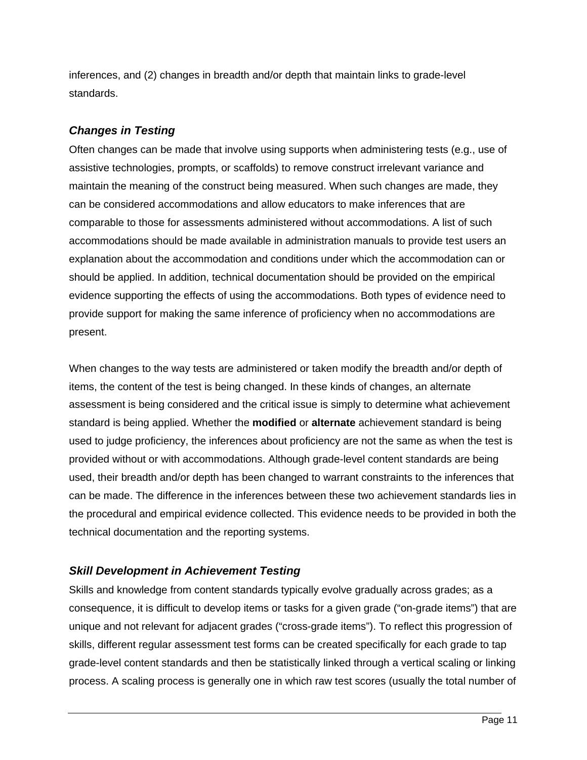inferences, and (2) changes in breadth and/or depth that maintain links to grade-level standards.

### *Changes in Testing*

Often changes can be made that involve using supports when administering tests (e.g., use of assistive technologies, prompts, or scaffolds) to remove construct irrelevant variance and maintain the meaning of the construct being measured. When such changes are made, they can be considered accommodations and allow educators to make inferences that are comparable to those for assessments administered without accommodations. A list of such accommodations should be made available in administration manuals to provide test users an explanation about the accommodation and conditions under which the accommodation can or should be applied. In addition, technical documentation should be provided on the empirical evidence supporting the effects of using the accommodations. Both types of evidence need to provide support for making the same inference of proficiency when no accommodations are present.

When changes to the way tests are administered or taken modify the breadth and/or depth of items, the content of the test is being changed. In these kinds of changes, an alternate assessment is being considered and the critical issue is simply to determine what achievement standard is being applied. Whether the **modified** or **alternate** achievement standard is being used to judge proficiency, the inferences about proficiency are not the same as when the test is provided without or with accommodations. Although grade-level content standards are being used, their breadth and/or depth has been changed to warrant constraints to the inferences that can be made. The difference in the inferences between these two achievement standards lies in the procedural and empirical evidence collected. This evidence needs to be provided in both the technical documentation and the reporting systems.

### *Skill Development in Achievement Testing*

Skills and knowledge from content standards typically evolve gradually across grades; as a consequence, it is difficult to develop items or tasks for a given grade ("on-grade items") that are unique and not relevant for adjacent grades ("cross-grade items"). To reflect this progression of skills, different regular assessment test forms can be created specifically for each grade to tap grade-level content standards and then be statistically linked through a vertical scaling or linking process. A scaling process is generally one in which raw test scores (usually the total number of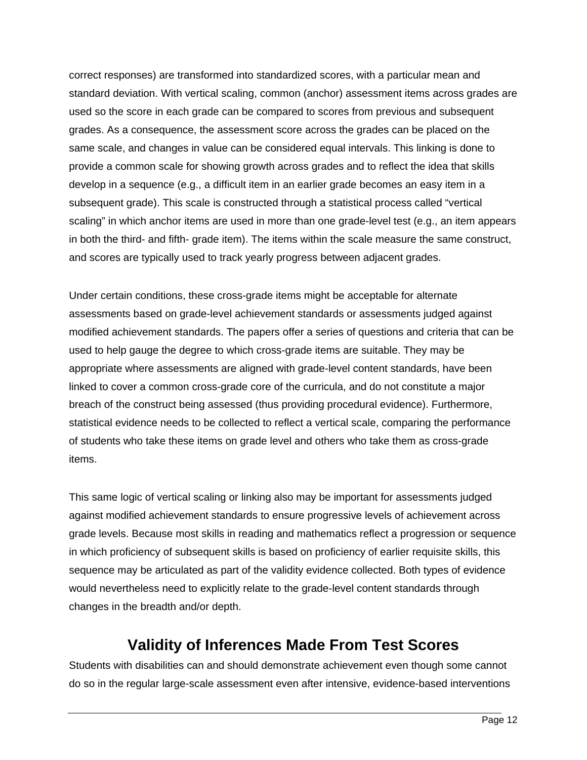correct responses) are transformed into standardized scores, with a particular mean and standard deviation. With vertical scaling, common (anchor) assessment items across grades are used so the score in each grade can be compared to scores from previous and subsequent grades. As a consequence, the assessment score across the grades can be placed on the same scale, and changes in value can be considered equal intervals. This linking is done to provide a common scale for showing growth across grades and to reflect the idea that skills develop in a sequence (e.g., a difficult item in an earlier grade becomes an easy item in a subsequent grade). This scale is constructed through a statistical process called "vertical scaling" in which anchor items are used in more than one grade-level test (e.g., an item appears in both the third- and fifth- grade item). The items within the scale measure the same construct, and scores are typically used to track yearly progress between adjacent grades.

Under certain conditions, these cross-grade items might be acceptable for alternate assessments based on grade-level achievement standards or assessments judged against modified achievement standards. The papers offer a series of questions and criteria that can be used to help gauge the degree to which cross-grade items are suitable. They may be appropriate where assessments are aligned with grade-level content standards, have been linked to cover a common cross-grade core of the curricula, and do not constitute a major breach of the construct being assessed (thus providing procedural evidence). Furthermore, statistical evidence needs to be collected to reflect a vertical scale, comparing the performance of students who take these items on grade level and others who take them as cross-grade items.

This same logic of vertical scaling or linking also may be important for assessments judged against modified achievement standards to ensure progressive levels of achievement across grade levels. Because most skills in reading and mathematics reflect a progression or sequence in which proficiency of subsequent skills is based on proficiency of earlier requisite skills, this sequence may be articulated as part of the validity evidence collected. Both types of evidence would nevertheless need to explicitly relate to the grade-level content standards through changes in the breadth and/or depth.

# **Validity of Inferences Made From Test Scores**

Students with disabilities can and should demonstrate achievement even though some cannot do so in the regular large-scale assessment even after intensive, evidence-based interventions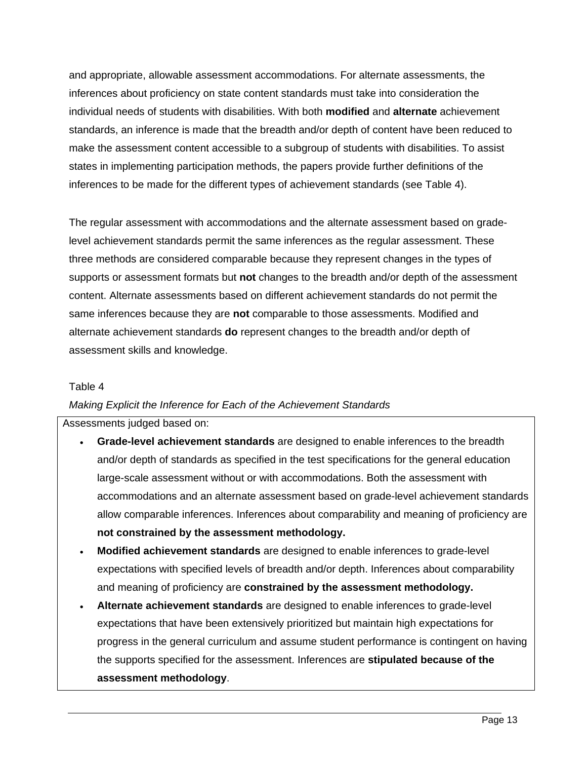and appropriate, allowable assessment accommodations. For alternate assessments, the inferences about proficiency on state content standards must take into consideration the individual needs of students with disabilities. With both **modified** and **alternate** achievement standards, an inference is made that the breadth and/or depth of content have been reduced to make the assessment content accessible to a subgroup of students with disabilities. To assist states in implementing participation methods, the papers provide further definitions of the inferences to be made for the different types of achievement standards (see Table 4).

The regular assessment with accommodations and the alternate assessment based on gradelevel achievement standards permit the same inferences as the regular assessment. These three methods are considered comparable because they represent changes in the types of supports or assessment formats but **not** changes to the breadth and/or depth of the assessment content. Alternate assessments based on different achievement standards do not permit the same inferences because they are **not** comparable to those assessments. Modified and alternate achievement standards **do** represent changes to the breadth and/or depth of assessment skills and knowledge.

#### Table 4

#### *Making Explicit the Inference for Each of the Achievement Standards*

#### Assessments judged based on:

- **Grade-level achievement standards** are designed to enable inferences to the breadth and/or depth of standards as specified in the test specifications for the general education large-scale assessment without or with accommodations. Both the assessment with accommodations and an alternate assessment based on grade-level achievement standards allow comparable inferences. Inferences about comparability and meaning of proficiency are **not constrained by the assessment methodology.**
- **Modified achievement standards** are designed to enable inferences to grade-level expectations with specified levels of breadth and/or depth. Inferences about comparability and meaning of proficiency are **constrained by the assessment methodology.**
- **Alternate achievement standards** are designed to enable inferences to grade-level expectations that have been extensively prioritized but maintain high expectations for progress in the general curriculum and assume student performance is contingent on having the supports specified for the assessment. Inferences are **stipulated because of the assessment methodology**.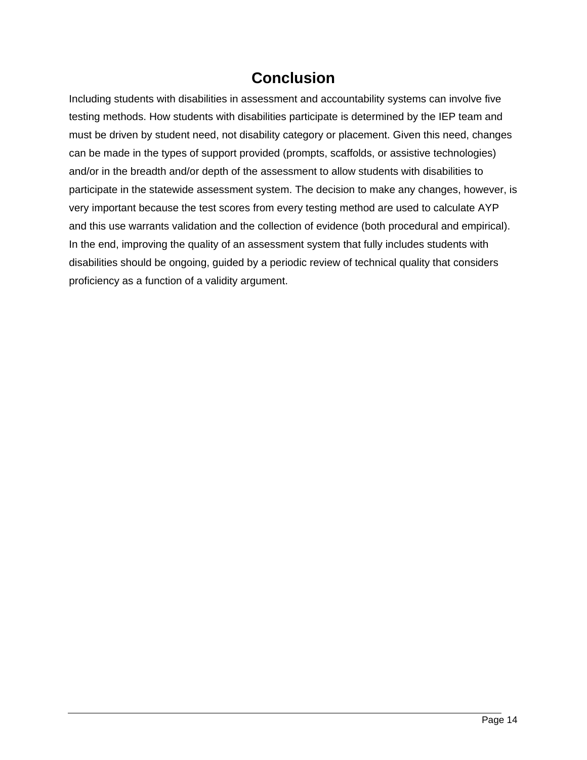## **Conclusion**

Including students with disabilities in assessment and accountability systems can involve five testing methods. How students with disabilities participate is determined by the IEP team and must be driven by student need, not disability category or placement. Given this need, changes can be made in the types of support provided (prompts, scaffolds, or assistive technologies) and/or in the breadth and/or depth of the assessment to allow students with disabilities to participate in the statewide assessment system. The decision to make any changes, however, is very important because the test scores from every testing method are used to calculate AYP and this use warrants validation and the collection of evidence (both procedural and empirical). In the end, improving the quality of an assessment system that fully includes students with disabilities should be ongoing, guided by a periodic review of technical quality that considers proficiency as a function of a validity argument.